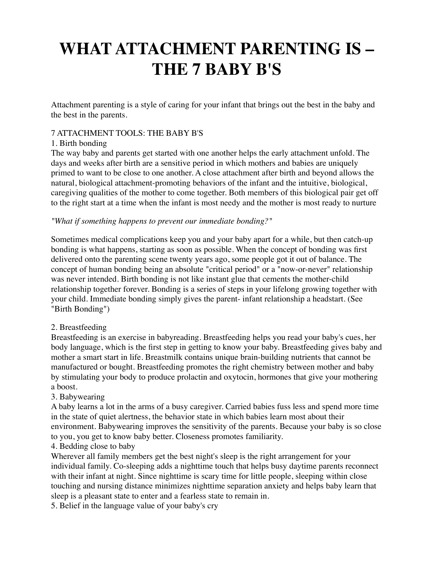# **WHAT ATTACHMENT PARENTING IS – THE 7 BABY B'S**

Attachment parenting is a style of caring for your infant that brings out the best in the baby and the best in the parents.

### 7 ATTACHMENT TOOLS: THE BABY B'S

### 1. Birth bonding

The way baby and parents get started with one another helps the early attachment unfold. The days and weeks after birth are a sensitive period in which mothers and babies are uniquely primed to want to be close to one another. A close attachment after birth and beyond allows the natural, biological attachment-promoting behaviors of the infant and the intuitive, biological, caregiving qualities of the mother to come together. Both members of this biological pair get off to the right start at a time when the infant is most needy and the mother is most ready to nurture

#### *"What if something happens to prevent our immediate bonding?"*

Sometimes medical complications keep you and your baby apart for a while, but then catch-up bonding is what happens, starting as soon as possible. When the concept of bonding was first delivered onto the parenting scene twenty years ago, some people got it out of balance. The concept of human bonding being an absolute "critical period" or a "now-or-never" relationship was never intended. Birth bonding is not like instant glue that cements the mother-child relationship together forever. Bonding is a series of steps in your lifelong growing together with your child. Immediate bonding simply gives the parent- infant relationship a headstart. (See "Birth Bonding")

### 2. Breastfeeding

Breastfeeding is an exercise in babyreading. Breastfeeding helps you read your baby's cues, her body language, which is the first step in getting to know your baby. Breastfeeding gives baby and mother a smart start in life. Breastmilk contains unique brain-building nutrients that cannot be manufactured or bought. Breastfeeding promotes the right chemistry between mother and baby by stimulating your body to produce prolactin and oxytocin, hormones that give your mothering a boost.

### 3. Babywearing

A baby learns a lot in the arms of a busy caregiver. Carried babies fuss less and spend more time in the state of quiet alertness, the behavior state in which babies learn most about their environment. Babywearing improves the sensitivity of the parents. Because your baby is so close to you, you get to know baby better. Closeness promotes familiarity.

### 4. Bedding close to baby

Wherever all family members get the best night's sleep is the right arrangement for your individual family. Co-sleeping adds a nighttime touch that helps busy daytime parents reconnect with their infant at night. Since nighttime is scary time for little people, sleeping within close touching and nursing distance minimizes nighttime separation anxiety and helps baby learn that sleep is a pleasant state to enter and a fearless state to remain in.

5. Belief in the language value of your baby's cry